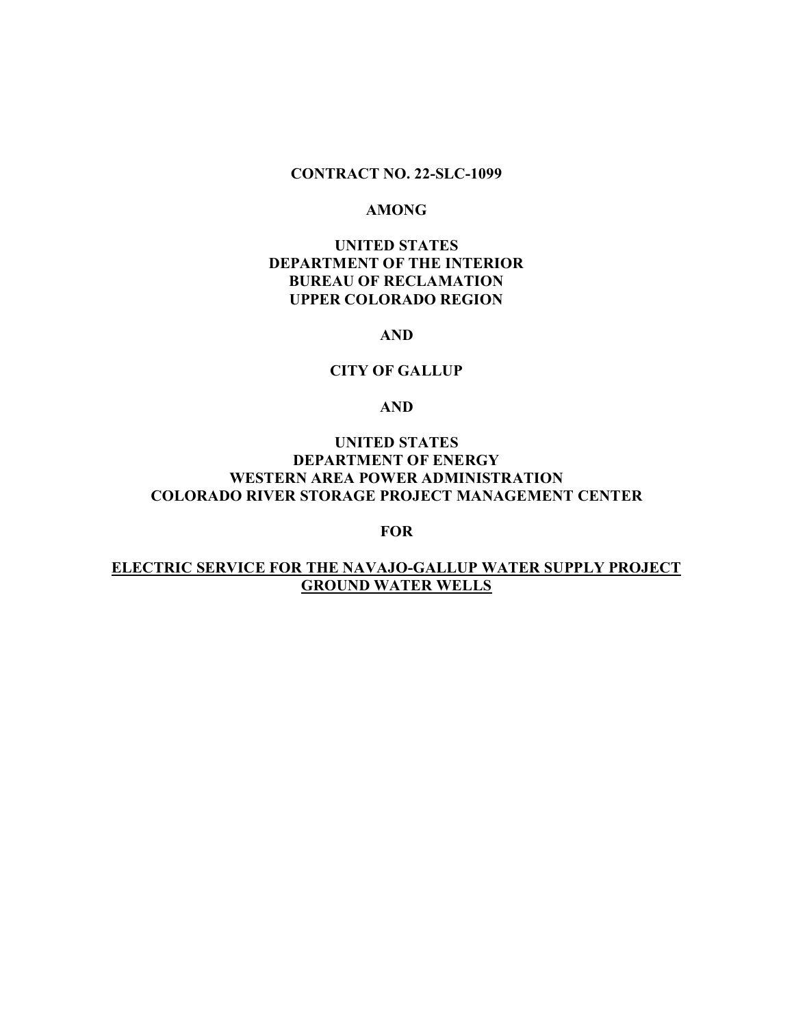# **CONTRACT NO. 22-SLC-1099**

#### **AMONG**

# **UNITED STATES DEPARTMENT OF THE INTERIOR BUREAU OF RECLAMATION UPPER COLORADO REGION**

### **AND**

## **CITY OF GALLUP**

## **AND**

# **UNITED STATES DEPARTMENT OF ENERGY WESTERN AREA POWER ADMINISTRATION COLORADO RIVER STORAGE PROJECT MANAGEMENT CENTER**

## **FOR**

# **ELECTRIC SERVICE FOR THE NAVAJO-GALLUP WATER SUPPLY PROJECT GROUND WATER WELLS**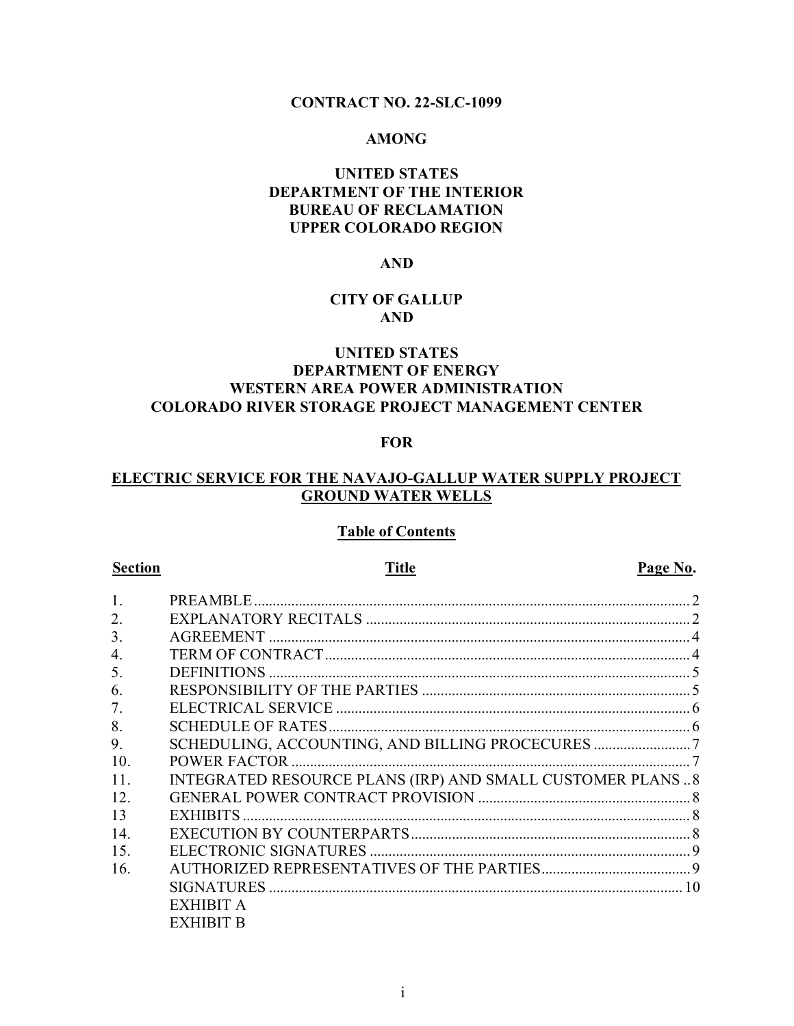# **CONTRACT NO. 22-SLC-1099**

# **AMONG**

# **UNITED STATES DEPARTMENT OF THE INTERIOR BUREAU OF RECLAMATION UPPER COLORADO REGION**

# **AND**

# **CITY OF GALLUP AND**

# **UNITED STATES DEPARTMENT OF ENERGY WESTERN AREA POWER ADMINISTRATION COLORADO RIVER STORAGE PROJECT MANAGEMENT CENTER**

## **FOR**

# **ELECTRIC SERVICE FOR THE NAVAJO-GALLUP WATER SUPPLY PROJECT GROUND WATER WELLS**

#### **Table of Contents**

**Section Page No. Title Page No.** 

| 1.  |                                                           |  |
|-----|-----------------------------------------------------------|--|
| 2.  |                                                           |  |
| 3.  |                                                           |  |
| 4.  |                                                           |  |
| 5.  |                                                           |  |
| 6.  |                                                           |  |
| 7.  |                                                           |  |
| 8.  |                                                           |  |
| 9.  |                                                           |  |
| 10. |                                                           |  |
| 11. | INTEGRATED RESOURCE PLANS (IRP) AND SMALL CUSTOMER PLANS8 |  |
| 12. |                                                           |  |
| 13  |                                                           |  |
| 14. |                                                           |  |
| 15. |                                                           |  |
| 16. |                                                           |  |
|     |                                                           |  |
|     | <b>EXHIBIT A</b>                                          |  |
|     | <b>EXHIBIT B</b>                                          |  |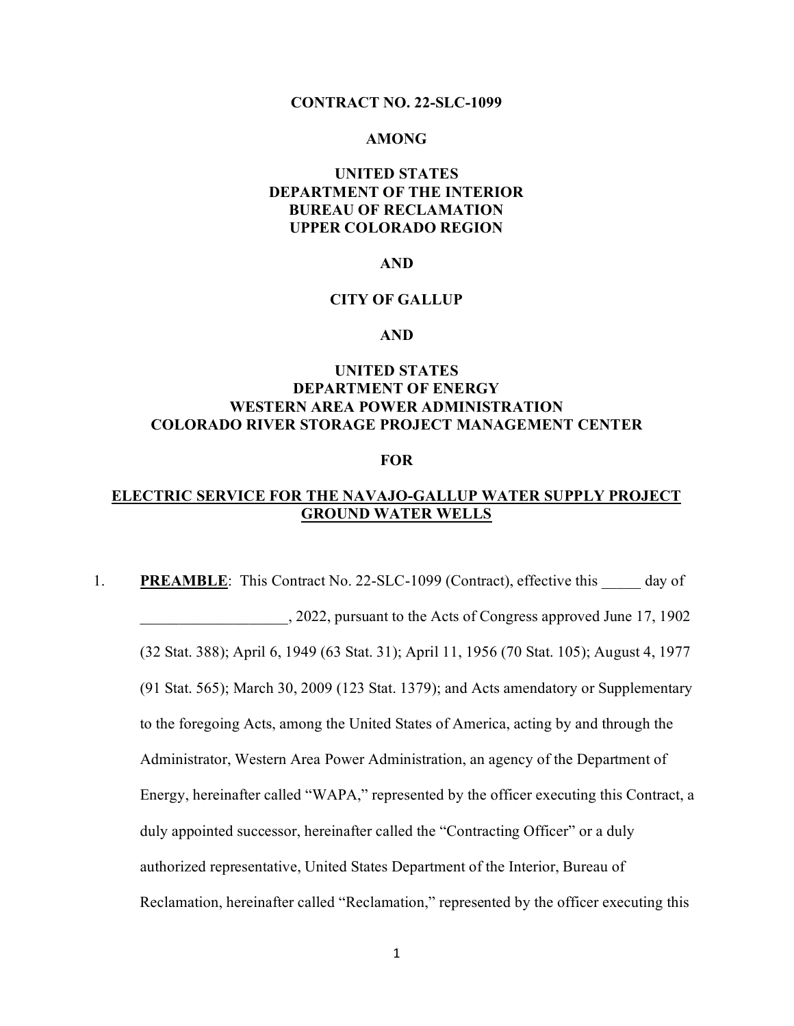#### **CONTRACT NO. 22-SLC-1099**

### **AMONG**

# **UNITED STATES DEPARTMENT OF THE INTERIOR BUREAU OF RECLAMATION UPPER COLORADO REGION**

#### **AND**

# **CITY OF GALLUP**

#### **AND**

# **UNITED STATES DEPARTMENT OF ENERGY WESTERN AREA POWER ADMINISTRATION COLORADO RIVER STORAGE PROJECT MANAGEMENT CENTER**

#### **FOR**

# **ELECTRIC SERVICE FOR THE NAVAJO-GALLUP WATER SUPPLY PROJECT GROUND WATER WELLS**

1. **PREAMBLE**: This Contract No. 22-SLC-1099 (Contract), effective this \_\_\_\_\_ day of \_\_\_\_\_\_\_\_\_\_\_\_\_\_\_\_\_\_\_, 2022, pursuant to the Acts of Congress approved June 17, 1902 (32 Stat. 388); April 6, 1949 (63 Stat. 31); April 11, 1956 (70 Stat. 105); August 4, 1977 (91 Stat. 565); March 30, 2009 (123 Stat. 1379); and Acts amendatory or Supplementary to the foregoing Acts, among the United States of America, acting by and through the Administrator, Western Area Power Administration, an agency of the Department of Energy, hereinafter called "WAPA," represented by the officer executing this Contract, a duly appointed successor, hereinafter called the "Contracting Officer" or a duly authorized representative, United States Department of the Interior, Bureau of Reclamation, hereinafter called "Reclamation," represented by the officer executing this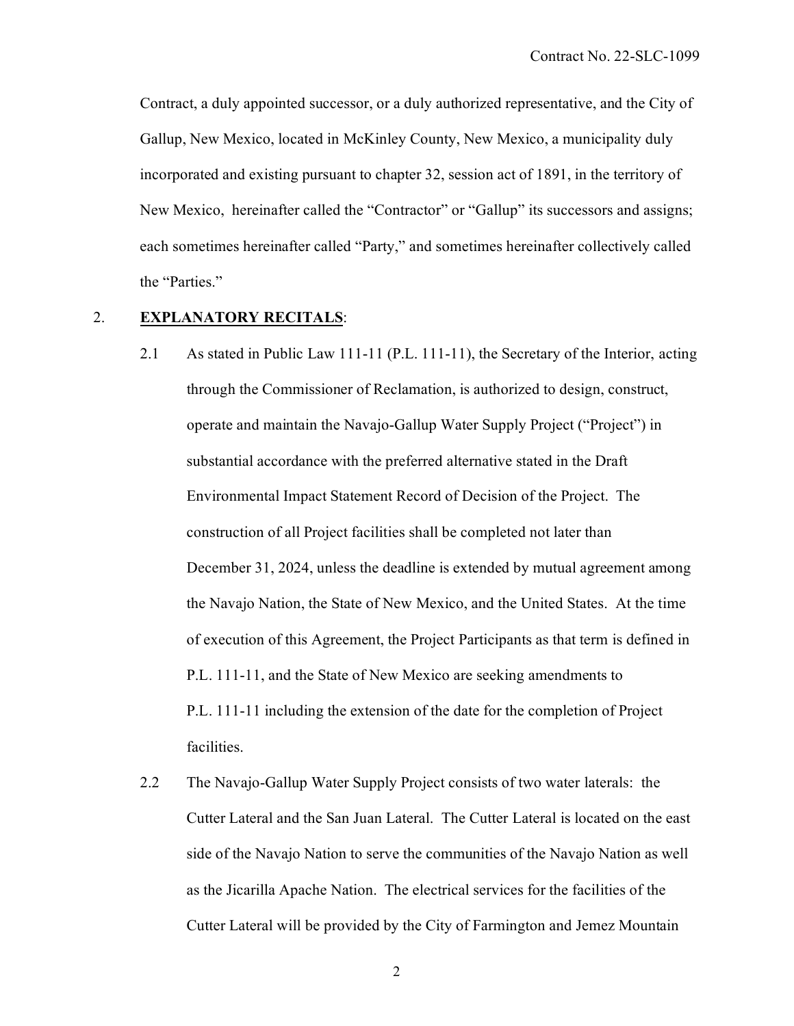Contract, a duly appointed successor, or a duly authorized representative, and the City of Gallup, New Mexico, located in McKinley County, New Mexico, a municipality duly incorporated and existing pursuant to chapter 32, session act of 1891, in the territory of New Mexico, hereinafter called the "Contractor" or "Gallup" its successors and assigns; each sometimes hereinafter called "Party," and sometimes hereinafter collectively called the "Parties."

## 2. **EXPLANATORY RECITALS**:

- 2.1 As stated in Public Law 111-11 (P.L. 111-11), the Secretary of the Interior, acting through the Commissioner of Reclamation, is authorized to design, construct, operate and maintain the Navajo-Gallup Water Supply Project ("Project") in substantial accordance with the preferred alternative stated in the Draft Environmental Impact Statement Record of Decision of the Project. The construction of all Project facilities shall be completed not later than December 31, 2024, unless the deadline is extended by mutual agreement among the Navajo Nation, the State of New Mexico, and the United States. At the time of execution of this Agreement, the Project Participants as that term is defined in P.L. 111-11, and the State of New Mexico are seeking amendments to P.L. 111-11 including the extension of the date for the completion of Project facilities.
- 2.2 The Navajo-Gallup Water Supply Project consists of two water laterals: the Cutter Lateral and the San Juan Lateral. The Cutter Lateral is located on the east side of the Navajo Nation to serve the communities of the Navajo Nation as well as the Jicarilla Apache Nation. The electrical services for the facilities of the Cutter Lateral will be provided by the City of Farmington and Jemez Mountain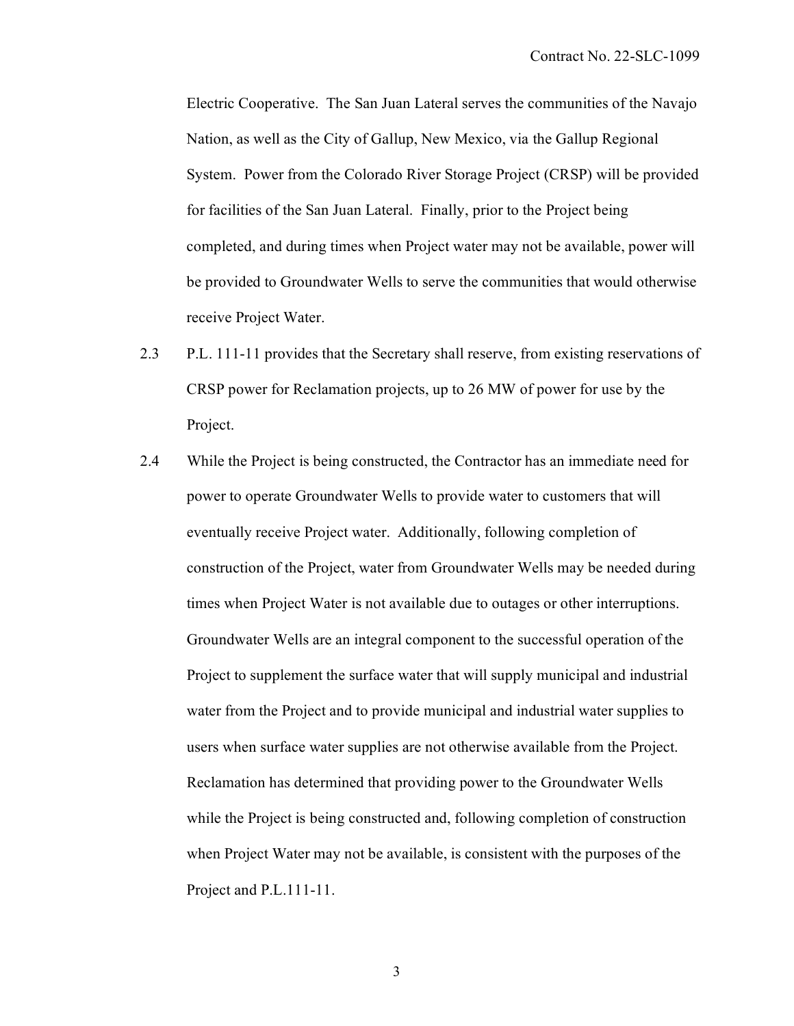Electric Cooperative. The San Juan Lateral serves the communities of the Navajo Nation, as well as the City of Gallup, New Mexico, via the Gallup Regional System. Power from the Colorado River Storage Project (CRSP) will be provided for facilities of the San Juan Lateral. Finally, prior to the Project being completed, and during times when Project water may not be available, power will be provided to Groundwater Wells to serve the communities that would otherwise receive Project Water.

- 2.3 P.L. 111-11 provides that the Secretary shall reserve, from existing reservations of CRSP power for Reclamation projects, up to 26 MW of power for use by the Project.
- 2.4 While the Project is being constructed, the Contractor has an immediate need for power to operate Groundwater Wells to provide water to customers that will eventually receive Project water. Additionally, following completion of construction of the Project, water from Groundwater Wells may be needed during times when Project Water is not available due to outages or other interruptions. Groundwater Wells are an integral component to the successful operation of the Project to supplement the surface water that will supply municipal and industrial water from the Project and to provide municipal and industrial water supplies to users when surface water supplies are not otherwise available from the Project. Reclamation has determined that providing power to the Groundwater Wells while the Project is being constructed and, following completion of construction when Project Water may not be available, is consistent with the purposes of the Project and P.L.111-11.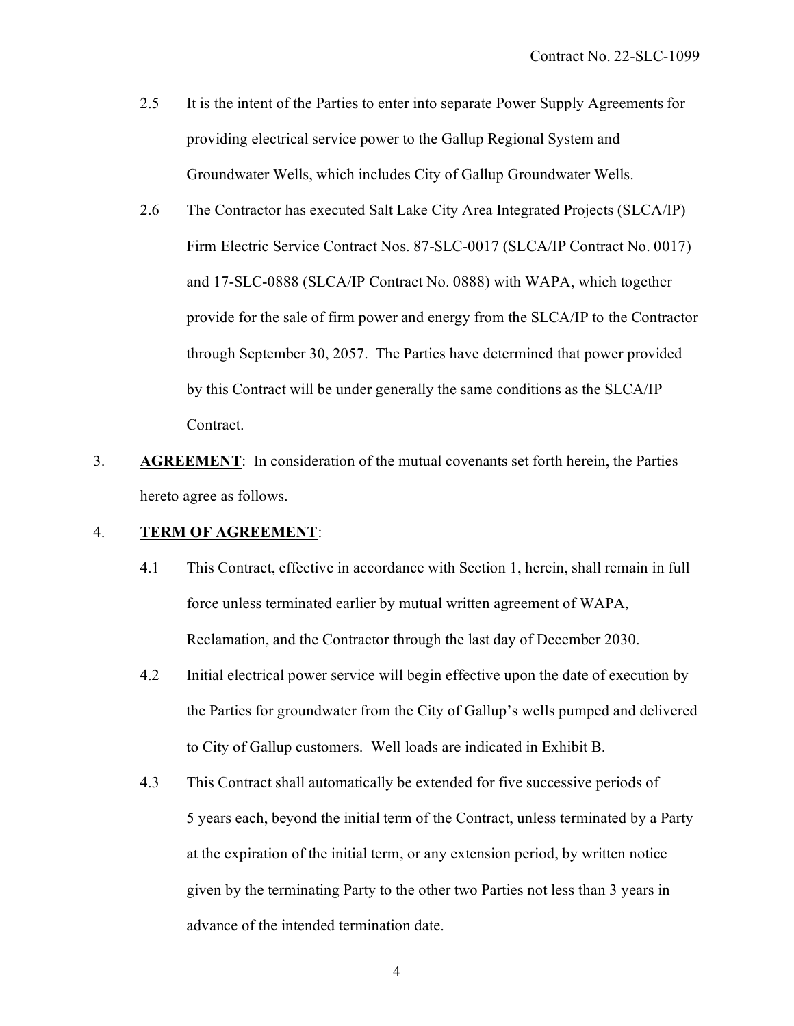- 2.5 It is the intent of the Parties to enter into separate Power Supply Agreements for providing electrical service power to the Gallup Regional System and Groundwater Wells, which includes City of Gallup Groundwater Wells.
- 2.6 The Contractor has executed Salt Lake City Area Integrated Projects (SLCA/IP) Firm Electric Service Contract Nos. 87-SLC-0017 (SLCA/IP Contract No. 0017) and 17-SLC-0888 (SLCA/IP Contract No. 0888) with WAPA, which together provide for the sale of firm power and energy from the SLCA/IP to the Contractor through September 30, 2057. The Parties have determined that power provided by this Contract will be under generally the same conditions as the SLCA/IP Contract.
- 3. **AGREEMENT**: In consideration of the mutual covenants set forth herein, the Parties hereto agree as follows.

## 4. **TERM OF AGREEMENT**:

- 4.1 This Contract, effective in accordance with Section 1, herein, shall remain in full force unless terminated earlier by mutual written agreement of WAPA, Reclamation, and the Contractor through the last day of December 2030.
- 4.2 Initial electrical power service will begin effective upon the date of execution by the Parties for groundwater from the City of Gallup's wells pumped and delivered to City of Gallup customers. Well loads are indicated in Exhibit B.
- 4.3 This Contract shall automatically be extended for five successive periods of 5 years each, beyond the initial term of the Contract, unless terminated by a Party at the expiration of the initial term, or any extension period, by written notice given by the terminating Party to the other two Parties not less than 3 years in advance of the intended termination date.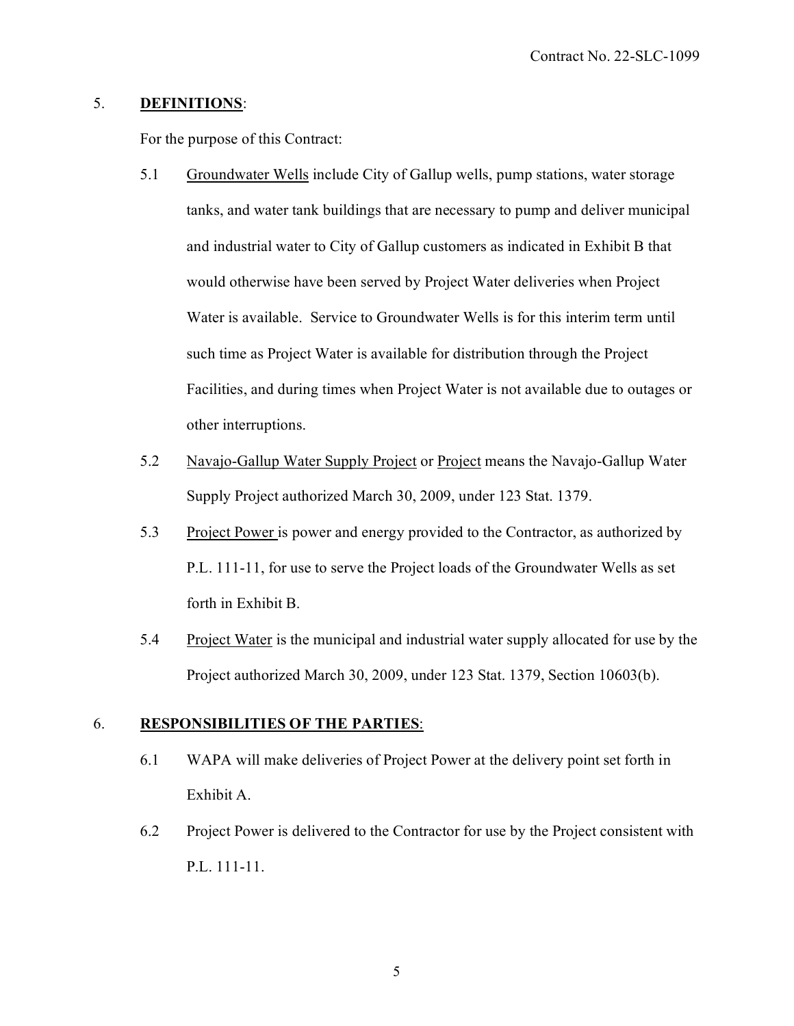# 5. **DEFINITIONS**:

For the purpose of this Contract:

- 5.1 Groundwater Wells include City of Gallup wells, pump stations, water storage tanks, and water tank buildings that are necessary to pump and deliver municipal and industrial water to City of Gallup customers as indicated in Exhibit B that would otherwise have been served by Project Water deliveries when Project Water is available. Service to Groundwater Wells is for this interim term until such time as Project Water is available for distribution through the Project Facilities, and during times when Project Water is not available due to outages or other interruptions.
- 5.2 Navajo-Gallup Water Supply Project or Project means the Navajo-Gallup Water Supply Project authorized March 30, 2009, under 123 Stat. 1379.
- 5.3 Project Power is power and energy provided to the Contractor, as authorized by P.L. 111-11, for use to serve the Project loads of the Groundwater Wells as set forth in Exhibit B.
- 5.4 Project Water is the municipal and industrial water supply allocated for use by the Project authorized March 30, 2009, under 123 Stat. 1379, Section 10603(b).

# 6. **RESPONSIBILITIES OF THE PARTIES**:

- 6.1 WAPA will make deliveries of Project Power at the delivery point set forth in Exhibit A.
- 6.2 Project Power is delivered to the Contractor for use by the Project consistent with P.L. 111-11.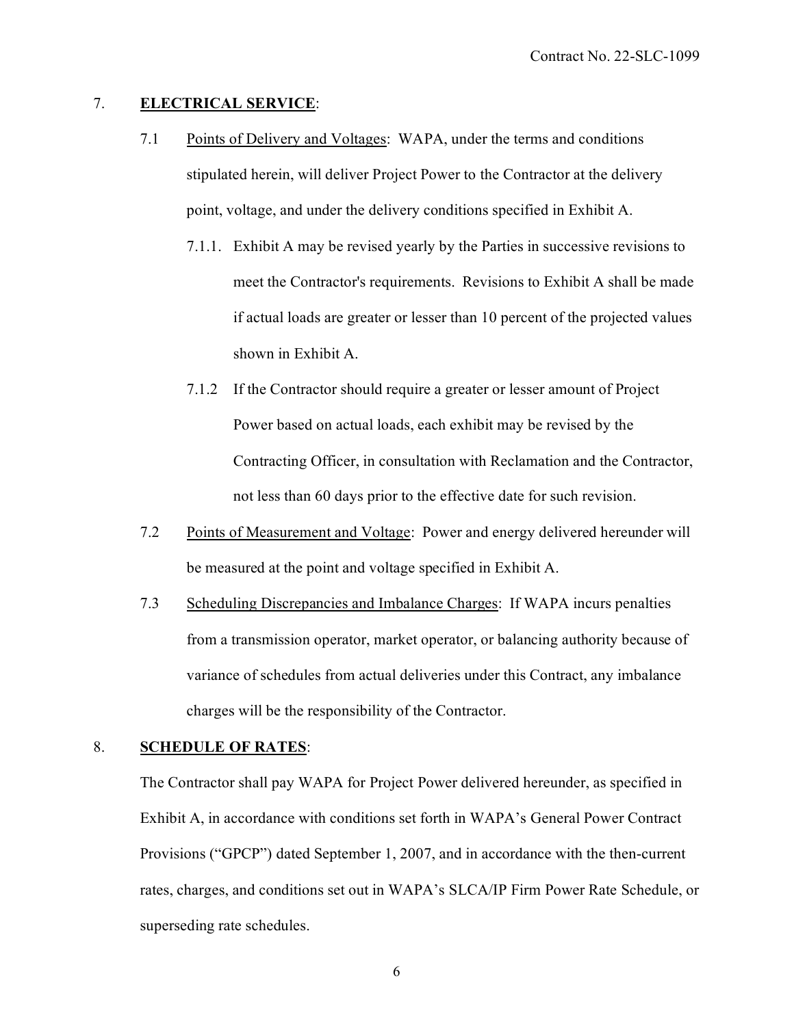# 7. **ELECTRICAL SERVICE**:

- 7.1 Points of Delivery and Voltages: WAPA, under the terms and conditions stipulated herein, will deliver Project Power to the Contractor at the delivery point, voltage, and under the delivery conditions specified in Exhibit A.
	- 7.1.1. Exhibit A may be revised yearly by the Parties in successive revisions to meet the Contractor's requirements. Revisions to Exhibit A shall be made if actual loads are greater or lesser than 10 percent of the projected values shown in Exhibit A.
	- 7.1.2 If the Contractor should require a greater or lesser amount of Project Power based on actual loads, each exhibit may be revised by the Contracting Officer, in consultation with Reclamation and the Contractor, not less than 60 days prior to the effective date for such revision.
- 7.2 Points of Measurement and Voltage: Power and energy delivered hereunder will be measured at the point and voltage specified in Exhibit A.
- 7.3 Scheduling Discrepancies and Imbalance Charges: If WAPA incurs penalties from a transmission operator, market operator, or balancing authority because of variance of schedules from actual deliveries under this Contract, any imbalance charges will be the responsibility of the Contractor.

## 8. **SCHEDULE OF RATES**:

The Contractor shall pay WAPA for Project Power delivered hereunder, as specified in Exhibit A, in accordance with conditions set forth in WAPA's General Power Contract Provisions ("GPCP") dated September 1, 2007, and in accordance with the then-current rates, charges, and conditions set out in WAPA's SLCA/IP Firm Power Rate Schedule, or superseding rate schedules.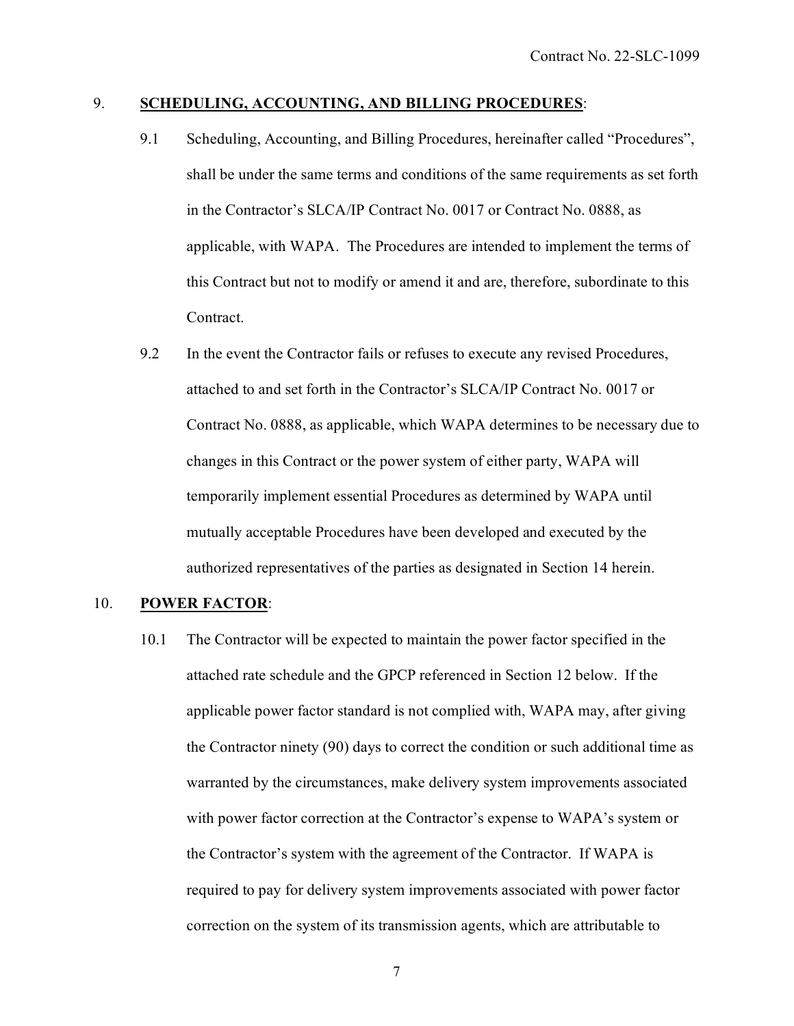# 9. **SCHEDULING, ACCOUNTING, AND BILLING PROCEDURES**:

- 9.1 Scheduling, Accounting, and Billing Procedures, hereinafter called "Procedures", shall be under the same terms and conditions of the same requirements as set forth in the Contractor's SLCA/IP Contract No. 0017 or Contract No. 0888, as applicable, with WAPA. The Procedures are intended to implement the terms of this Contract but not to modify or amend it and are, therefore, subordinate to this Contract.
- 9.2 In the event the Contractor fails or refuses to execute any revised Procedures, attached to and set forth in the Contractor's SLCA/IP Contract No. 0017 or Contract No. 0888, as applicable, which WAPA determines to be necessary due to changes in this Contract or the power system of either party, WAPA will temporarily implement essential Procedures as determined by WAPA until mutually acceptable Procedures have been developed and executed by the authorized representatives of the parties as designated in Section 14 herein.

## 10. **POWER FACTOR**:

10.1 The Contractor will be expected to maintain the power factor specified in the attached rate schedule and the GPCP referenced in Section 12 below. If the applicable power factor standard is not complied with, WAPA may, after giving the Contractor ninety (90) days to correct the condition or such additional time as warranted by the circumstances, make delivery system improvements associated with power factor correction at the Contractor's expense to WAPA's system or the Contractor's system with the agreement of the Contractor. If WAPA is required to pay for delivery system improvements associated with power factor correction on the system of its transmission agents, which are attributable to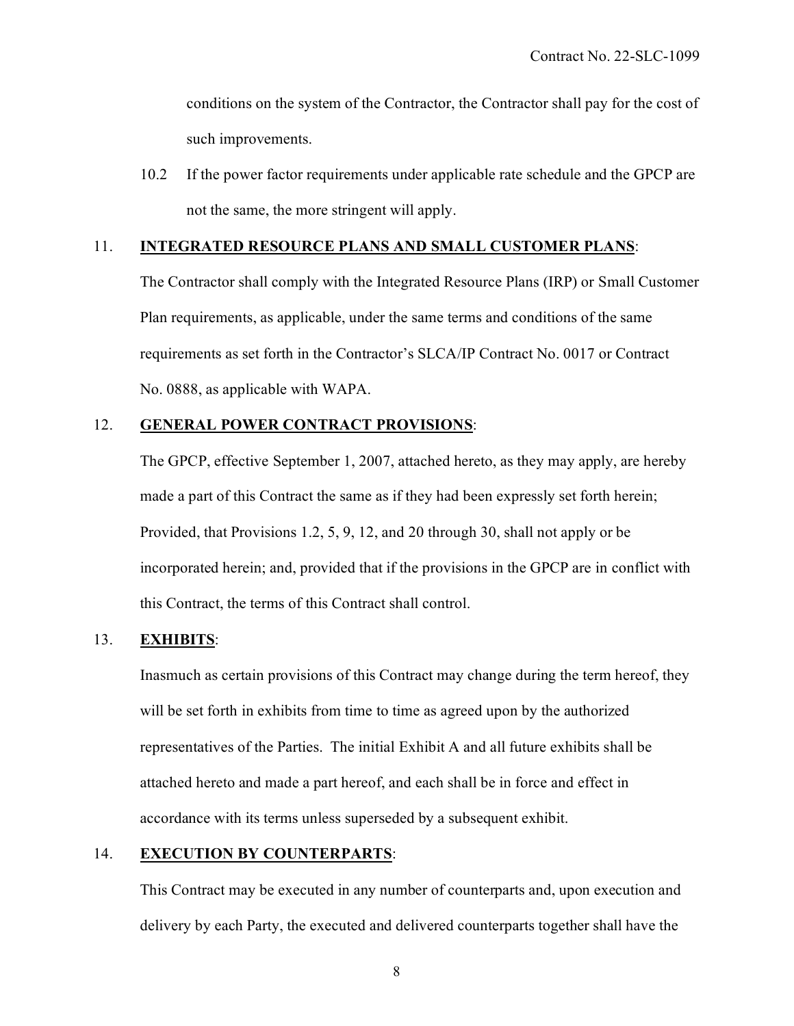conditions on the system of the Contractor, the Contractor shall pay for the cost of such improvements.

10.2 If the power factor requirements under applicable rate schedule and the GPCP are not the same, the more stringent will apply.

### 11. **INTEGRATED RESOURCE PLANS AND SMALL CUSTOMER PLANS**:

The Contractor shall comply with the Integrated Resource Plans (IRP) or Small Customer Plan requirements, as applicable, under the same terms and conditions of the same requirements as set forth in the Contractor's SLCA/IP Contract No. 0017 or Contract No. 0888, as applicable with WAPA.

## 12. **GENERAL POWER CONTRACT PROVISIONS**:

The GPCP, effective September 1, 2007, attached hereto, as they may apply, are hereby made a part of this Contract the same as if they had been expressly set forth herein; Provided, that Provisions 1.2, 5, 9, 12, and 20 through 30, shall not apply or be incorporated herein; and, provided that if the provisions in the GPCP are in conflict with this Contract, the terms of this Contract shall control.

### 13. **EXHIBITS**:

Inasmuch as certain provisions of this Contract may change during the term hereof, they will be set forth in exhibits from time to time as agreed upon by the authorized representatives of the Parties. The initial Exhibit A and all future exhibits shall be attached hereto and made a part hereof, and each shall be in force and effect in accordance with its terms unless superseded by a subsequent exhibit.

## 14. **EXECUTION BY COUNTERPARTS**:

This Contract may be executed in any number of counterparts and, upon execution and delivery by each Party, the executed and delivered counterparts together shall have the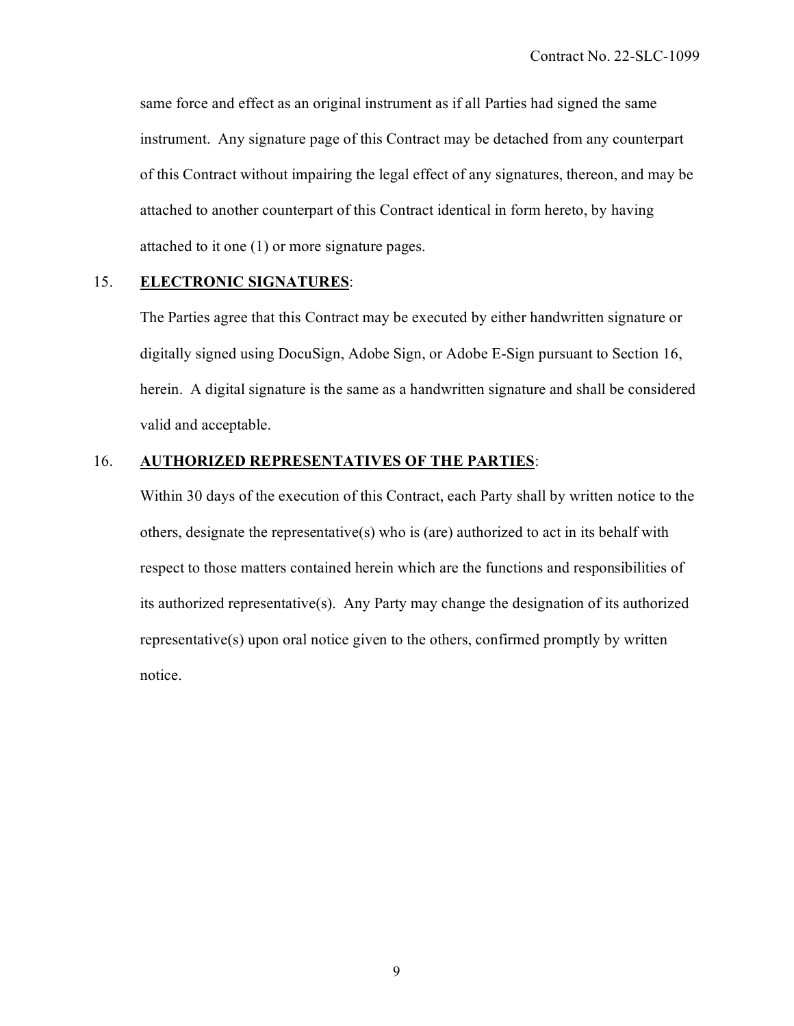same force and effect as an original instrument as if all Parties had signed the same instrument. Any signature page of this Contract may be detached from any counterpart of this Contract without impairing the legal effect of any signatures, thereon, and may be attached to another counterpart of this Contract identical in form hereto, by having attached to it one (1) or more signature pages.

# 15. **ELECTRONIC SIGNATURES**:

The Parties agree that this Contract may be executed by either handwritten signature or digitally signed using DocuSign, Adobe Sign, or Adobe E-Sign pursuant to Section 16, herein. A digital signature is the same as a handwritten signature and shall be considered valid and acceptable.

# 16. **AUTHORIZED REPRESENTATIVES OF THE PARTIES**:

Within 30 days of the execution of this Contract, each Party shall by written notice to the others, designate the representative(s) who is (are) authorized to act in its behalf with respect to those matters contained herein which are the functions and responsibilities of its authorized representative(s). Any Party may change the designation of its authorized representative(s) upon oral notice given to the others, confirmed promptly by written notice.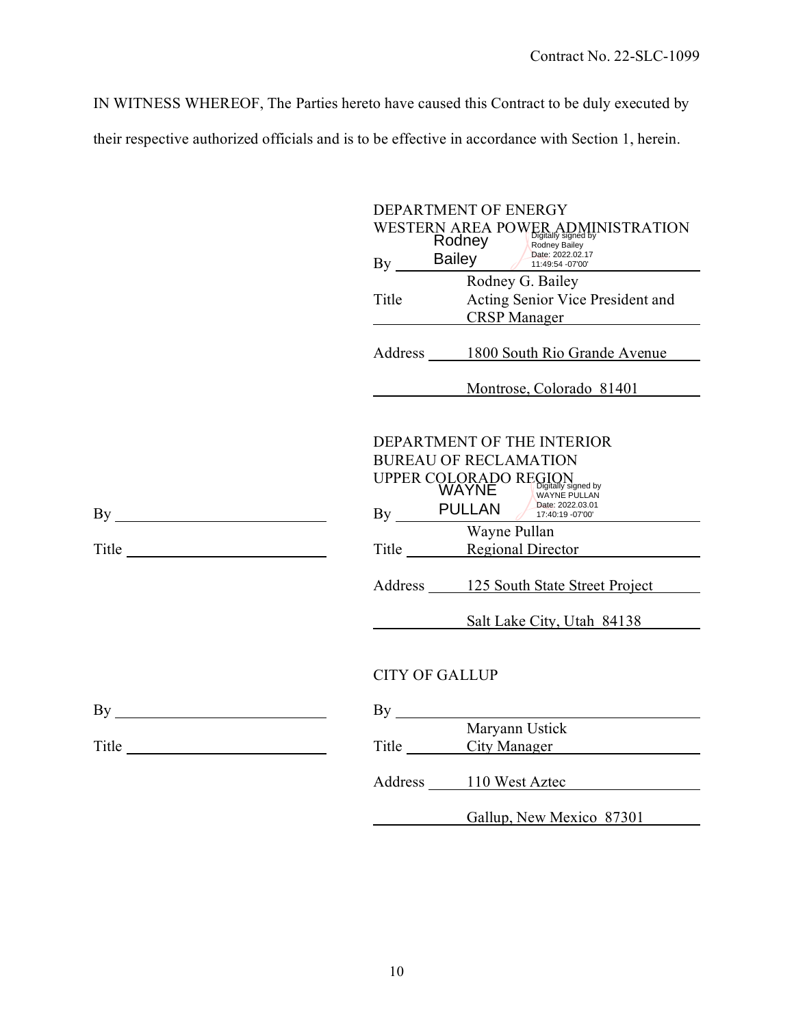IN WITNESS WHEREOF, The Parties hereto have caused this Contract to be duly executed by their respective authorized officials and is to be effective in accordance with Section 1, herein.

|                                                                            | DEPARTMENT OF ENERGY  |                                                                                   |  |
|----------------------------------------------------------------------------|-----------------------|-----------------------------------------------------------------------------------|--|
|                                                                            |                       | WESTERN AREA POWER ADMINISTRATION<br>By Bailey Balley Date: 2022.02.17            |  |
|                                                                            |                       | Date: 2022.02.17                                                                  |  |
|                                                                            |                       | Rodney G. Bailey                                                                  |  |
|                                                                            | Title                 | Acting Senior Vice President and                                                  |  |
|                                                                            |                       | CRSP Manager                                                                      |  |
|                                                                            |                       | Address 1800 South Rio Grande Avenue                                              |  |
|                                                                            |                       | Montrose, Colorado 81401                                                          |  |
|                                                                            |                       |                                                                                   |  |
|                                                                            |                       | DEPARTMENT OF THE INTERIOR                                                        |  |
|                                                                            |                       | <b>BUREAU OF RECLAMATION</b>                                                      |  |
|                                                                            |                       |                                                                                   |  |
|                                                                            |                       | UPPER COLORADO REGION WAYNE PULLAN Date: 2022.03.01<br>By PULLAN Date: 2022.03.01 |  |
|                                                                            |                       | Wayne Pullan                                                                      |  |
| Title $\frac{1}{\sqrt{1-\frac{1}{2}}\left(\frac{1}{2}-\frac{1}{2}\right)}$ |                       | Title Regional Director                                                           |  |
|                                                                            |                       | Address 125 South State Street Project                                            |  |
|                                                                            |                       | Salt Lake City, Utah 84138                                                        |  |
|                                                                            |                       |                                                                                   |  |
|                                                                            | <b>CITY OF GALLUP</b> |                                                                                   |  |
| $\mathbf{By} \_\_\_\_\_\_$                                                 |                       |                                                                                   |  |
|                                                                            |                       | Maryann Ustick                                                                    |  |
| Title $\qquad \qquad$ Title                                                |                       | Title City Manager                                                                |  |
|                                                                            |                       | Address 110 West Aztec                                                            |  |
|                                                                            |                       | Gallup, New Mexico 87301                                                          |  |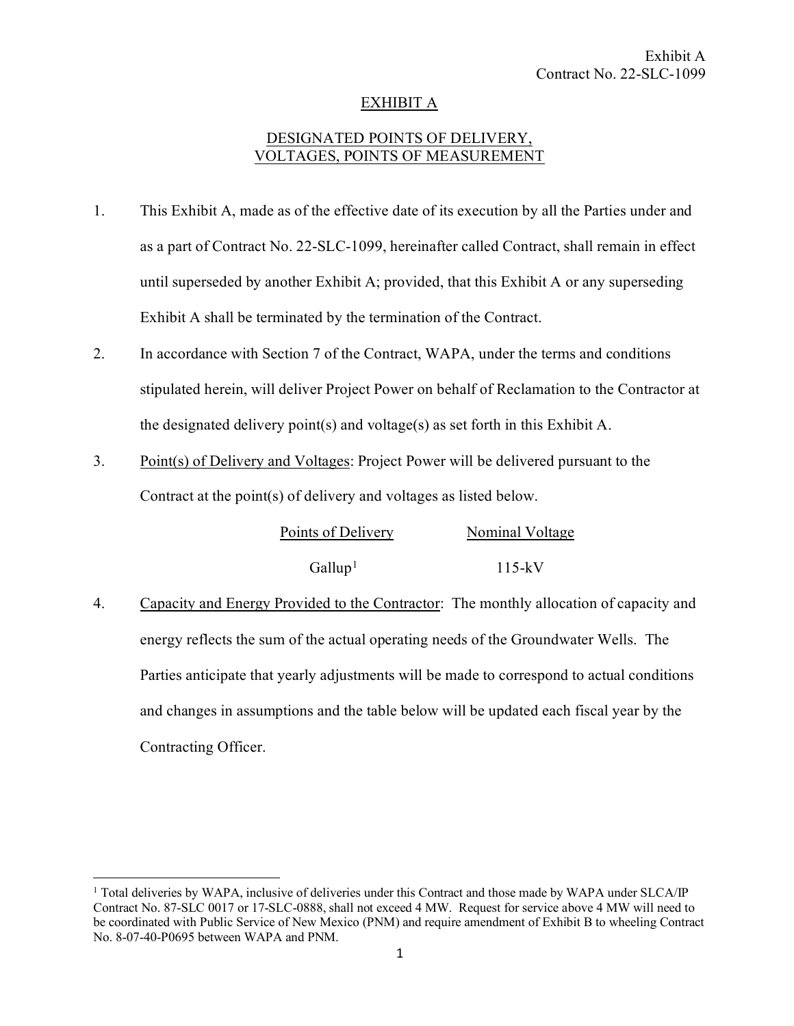# EXHIBIT A

# DESIGNATED POINTS OF DELIVERY, VOLTAGES, POINTS OF MEASUREMENT

- 1. This Exhibit A, made as of the effective date of its execution by all the Parties under and as a part of Contract No. 22-SLC-1099, hereinafter called Contract, shall remain in effect until superseded by another Exhibit A; provided, that this Exhibit A or any superseding Exhibit A shall be terminated by the termination of the Contract.
- 2. In accordance with Section 7 of the Contract, WAPA, under the terms and conditions stipulated herein, will deliver Project Power on behalf of Reclamation to the Contractor at the designated delivery point(s) and voltage(s) as set forth in this Exhibit A.
- 3. Point(s) of Delivery and Voltages: Project Power will be delivered pursuant to the Contract at the point(s) of delivery and voltages as listed below.

| Points of Delivery  | Nominal Voltage |  |  |
|---------------------|-----------------|--|--|
| Gallup <sup>1</sup> | $115-kV$        |  |  |

4. Capacity and Energy Provided to the Contractor: The monthly allocation of capacity and energy reflects the sum of the actual operating needs of the Groundwater Wells. The Parties anticipate that yearly adjustments will be made to correspond to actual conditions and changes in assumptions and the table below will be updated each fiscal year by the Contracting Officer.

<span id="page-12-0"></span><sup>&</sup>lt;sup>1</sup> Total deliveries by WAPA, inclusive of deliveries under this Contract and those made by WAPA under SLCA/IP Contract No. 87-SLC 0017 or 17-SLC-0888, shall not exceed 4 MW. Request for service above 4 MW will need to be coordinated with Public Service of New Mexico (PNM) and require amendment of Exhibit B to wheeling Contract No. 8-07-40-P0695 between WAPA and PNM.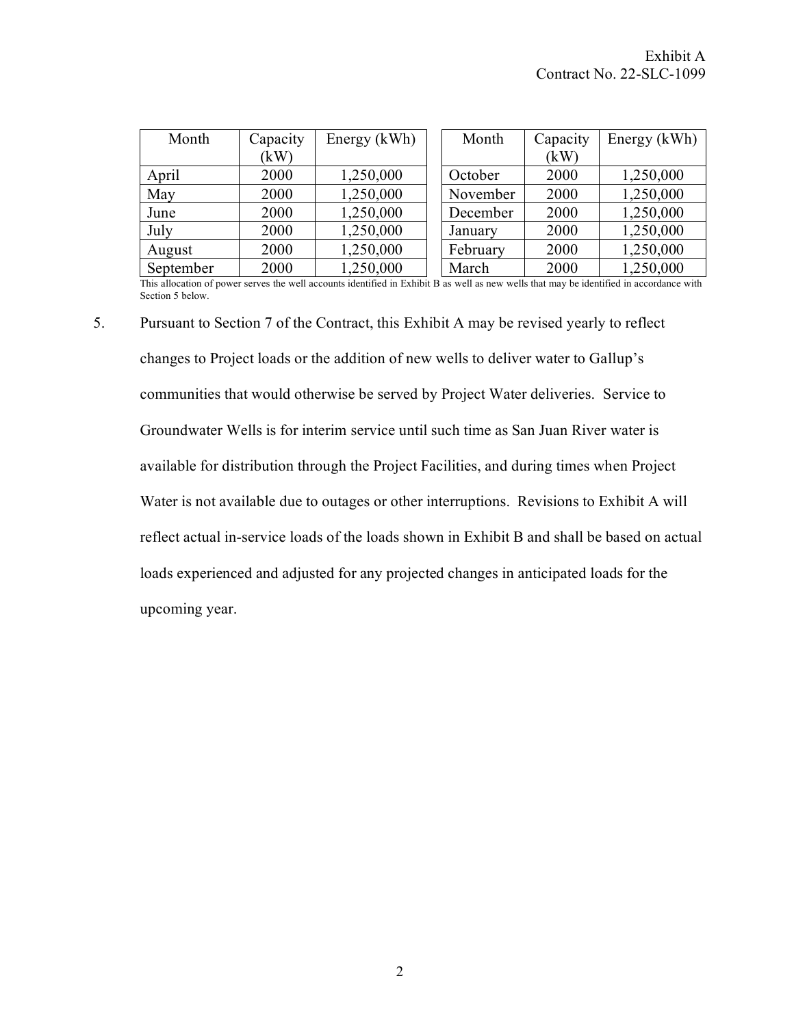| Month     | Capacity | Energy (kWh) | Month    | Capacity | Energy (kWh) |
|-----------|----------|--------------|----------|----------|--------------|
|           | (kW)     |              |          | (kW)     |              |
| April     | 2000     | 1,250,000    | October  | 2000     | 1,250,000    |
| May       | 2000     | 1,250,000    | November | 2000     | 1,250,000    |
| June      | 2000     | 1,250,000    | December | 2000     | 1,250,000    |
| July      | 2000     | 1,250,000    | January  | 2000     | 1,250,000    |
| August    | 2000     | 1,250,000    | February | 2000     | 1,250,000    |
| September | 2000     | 1,250,000    | March    | 2000     | 1,250,000    |

This allocation of power serves the well accounts identified in Exhibit B as well as new wells that may be identified in accordance with Section 5 below.

5. Pursuant to Section 7 of the Contract, this Exhibit A may be revised yearly to reflect changes to Project loads or the addition of new wells to deliver water to Gallup's communities that would otherwise be served by Project Water deliveries. Service to Groundwater Wells is for interim service until such time as San Juan River water is available for distribution through the Project Facilities, and during times when Project Water is not available due to outages or other interruptions. Revisions to Exhibit A will reflect actual in-service loads of the loads shown in Exhibit B and shall be based on actual loads experienced and adjusted for any projected changes in anticipated loads for the upcoming year.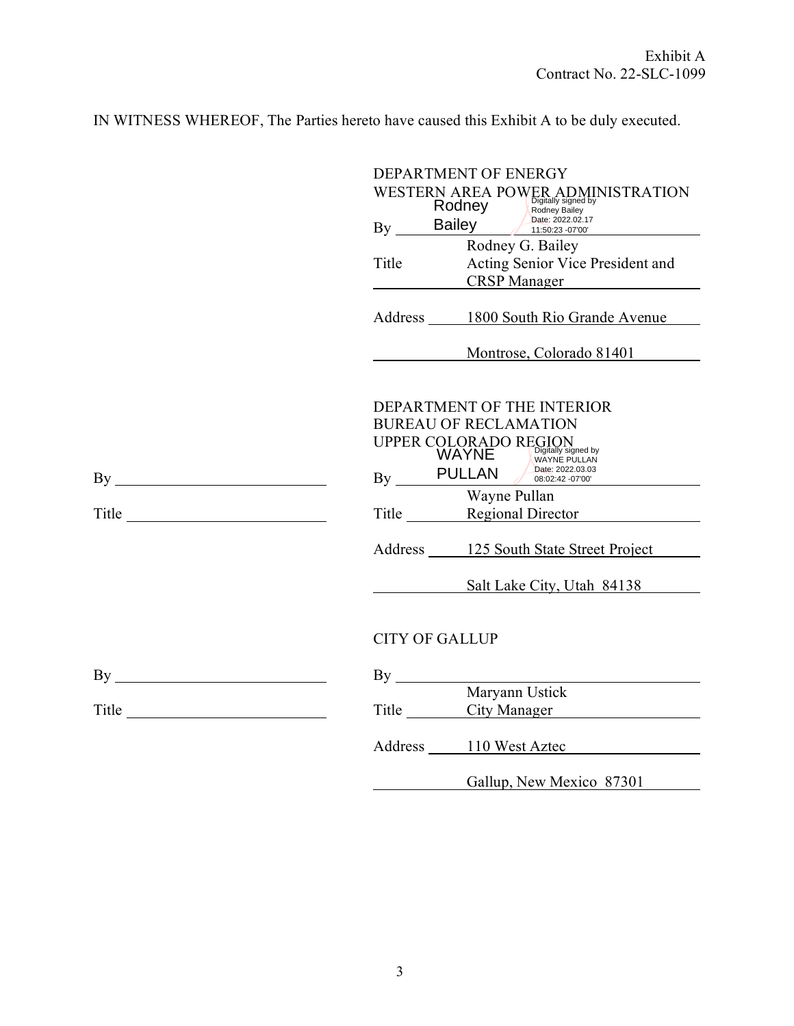IN WITNESS WHEREOF, The Parties hereto have caused this Exhibit A to be duly executed.

|       | DEPARTMENT OF ENERGY |                                                                                                                   |  |
|-------|----------------------|-------------------------------------------------------------------------------------------------------------------|--|
|       |                      | WESTERN AREA POWER ADMINISTRATION<br>Rodney<br>Bailey<br>Pate: 2022.02.17<br>Pate: 2022.02.17<br>11:50:23 -07'00' |  |
|       | By                   | Date: 2022.02.17                                                                                                  |  |
|       |                      | Rodney G. Bailey                                                                                                  |  |
|       | Title                | Acting Senior Vice President and                                                                                  |  |
|       |                      | <b>CRSP Manager</b>                                                                                               |  |
|       |                      | Address 1800 South Rio Grande Avenue                                                                              |  |
|       |                      | Montrose, Colorado 81401                                                                                          |  |
|       |                      |                                                                                                                   |  |
|       |                      | DEPARTMENT OF THE INTERIOR                                                                                        |  |
|       |                      | <b>BUREAU OF RECLAMATION</b>                                                                                      |  |
|       |                      | UPPER COLORADO REGION<br>WAYNE WAYNE WAYS                                                                         |  |
|       |                      | <b>WAYNE PULLAN</b><br>By PULLAN $\frac{\text{Value 2022.03.03}}{08.02.42 - 0700}$                                |  |
|       |                      | Wayne Pullan                                                                                                      |  |
| Title |                      | Title Regional Director                                                                                           |  |
|       |                      |                                                                                                                   |  |
|       |                      | Address 125 South State Street Project                                                                            |  |
|       |                      | Salt Lake City, Utah 84138                                                                                        |  |
|       |                      |                                                                                                                   |  |
|       |                      | <b>CITY OF GALLUP</b>                                                                                             |  |
|       |                      |                                                                                                                   |  |
|       |                      | Maryann Ustick                                                                                                    |  |
|       |                      | Title City Manager                                                                                                |  |
|       |                      | Address 110 West Aztec                                                                                            |  |
|       |                      | Gallup, New Mexico 87301                                                                                          |  |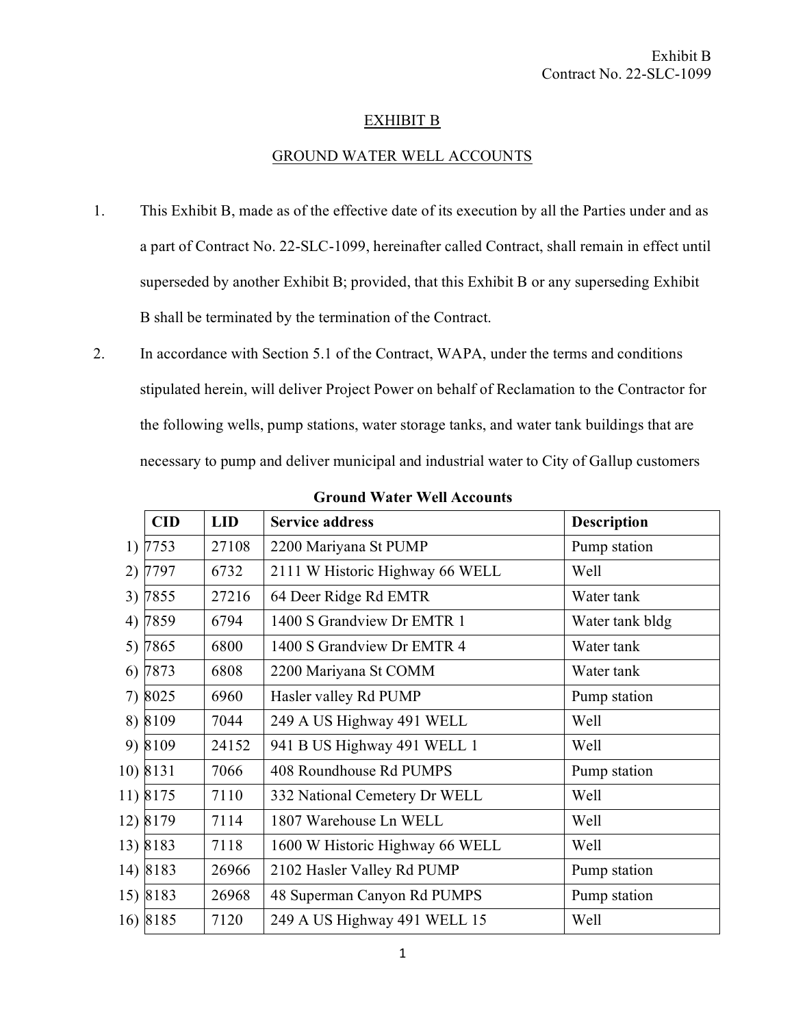# EXHIBIT B

# GROUND WATER WELL ACCOUNTS

- 1. This Exhibit B, made as of the effective date of its execution by all the Parties under and as a part of Contract No. 22-SLC-1099, hereinafter called Contract, shall remain in effect until superseded by another Exhibit B; provided, that this Exhibit B or any superseding Exhibit B shall be terminated by the termination of the Contract.
- 2. In accordance with Section 5.1 of the Contract, WAPA, under the terms and conditions stipulated herein, will deliver Project Power on behalf of Reclamation to the Contractor for the following wells, pump stations, water storage tanks, and water tank buildings that are necessary to pump and deliver municipal and industrial water to City of Gallup customers

|    | <b>CID</b> | <b>LID</b> | <b>Service address</b>          | <b>Description</b> |
|----|------------|------------|---------------------------------|--------------------|
|    | 1) 7753    | 27108      | 2200 Mariyana St PUMP           | Pump station       |
| 2) | 7797       | 6732       | 2111 W Historic Highway 66 WELL | Well               |
|    | 3) 7855    | 27216      | 64 Deer Ridge Rd EMTR           | Water tank         |
|    | 4) 7859    | 6794       | 1400 S Grandview Dr EMTR 1      | Water tank bldg    |
|    | 5) 7865    | 6800       | 1400 S Grandview Dr EMTR 4      | Water tank         |
|    | 6) 7873    | 6808       | 2200 Mariyana St COMM           | Water tank         |
|    | 7) 8025    | 6960       | Hasler valley Rd PUMP           | Pump station       |
|    | 8) 8109    | 7044       | 249 A US Highway 491 WELL       | Well               |
|    | 9) 8109    | 24152      | 941 B US Highway 491 WELL 1     | Well               |
|    | 10) 8131   | 7066       | 408 Roundhouse Rd PUMPS         | Pump station       |
|    | 11) 8175   | 7110       | 332 National Cemetery Dr WELL   | Well               |
|    | 12) 8179   | 7114       | 1807 Warehouse Ln WELL          | Well               |
|    | 13) 8183   | 7118       | 1600 W Historic Highway 66 WELL | Well               |
|    | 14) 8183   | 26966      | 2102 Hasler Valley Rd PUMP      | Pump station       |
|    | 15) 8183   | 26968      | 48 Superman Canyon Rd PUMPS     | Pump station       |
|    | 16) 8185   | 7120       | 249 A US Highway 491 WELL 15    | Well               |

**Ground Water Well Accounts**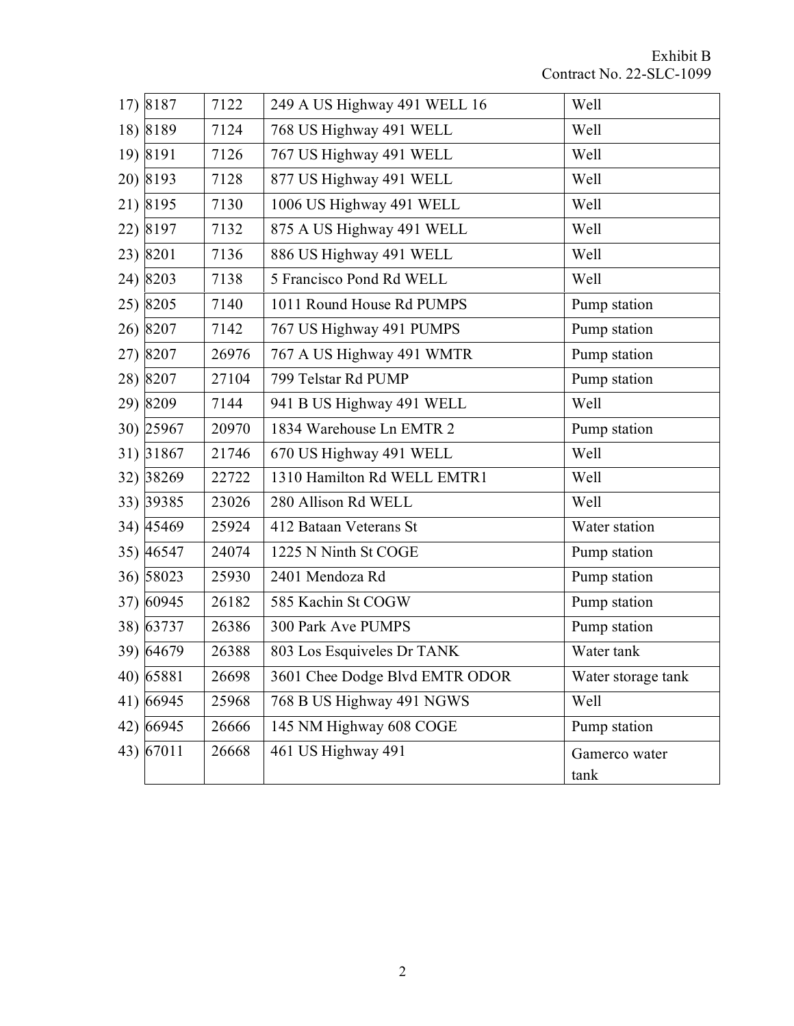| 17) 8187  | 7122  | 249 A US Highway 491 WELL 16   | Well                  |
|-----------|-------|--------------------------------|-----------------------|
| 18) 8189  | 7124  | 768 US Highway 491 WELL        | Well                  |
| 19) 8191  | 7126  | 767 US Highway 491 WELL        | Well                  |
| 20) 8193  | 7128  | 877 US Highway 491 WELL        | Well                  |
| 21) 8195  | 7130  | 1006 US Highway 491 WELL       | Well                  |
| 22) 8197  | 7132  | 875 A US Highway 491 WELL      | Well                  |
| 23) 8201  | 7136  | 886 US Highway 491 WELL        | Well                  |
| 24) 8203  | 7138  | 5 Francisco Pond Rd WELL       | Well                  |
| 25) 8205  | 7140  | 1011 Round House Rd PUMPS      | Pump station          |
| 26) 8207  | 7142  | 767 US Highway 491 PUMPS       | Pump station          |
| 27) 8207  | 26976 | 767 A US Highway 491 WMTR      | Pump station          |
| 28) 8207  | 27104 | 799 Telstar Rd PUMP            | Pump station          |
| 29) 8209  | 7144  | 941 B US Highway 491 WELL      | Well                  |
| 30) 25967 | 20970 | 1834 Warehouse Ln EMTR 2       | Pump station          |
| 31) 31867 | 21746 | 670 US Highway 491 WELL        | Well                  |
| 32) 38269 | 22722 | 1310 Hamilton Rd WELL EMTR1    | Well                  |
| 33) 39385 | 23026 | 280 Allison Rd WELL            | Well                  |
| 34) 45469 | 25924 | 412 Bataan Veterans St         | Water station         |
| 35) 46547 | 24074 | 1225 N Ninth St COGE           | Pump station          |
| 36) 58023 | 25930 | 2401 Mendoza Rd                | Pump station          |
| 37) 60945 | 26182 | 585 Kachin St COGW             | Pump station          |
| 38) 63737 | 26386 | 300 Park Ave PUMPS             | Pump station          |
| 39) 64679 | 26388 | 803 Los Esquiveles Dr TANK     | Water tank            |
| 40) 65881 | 26698 | 3601 Chee Dodge Blvd EMTR ODOR | Water storage tank    |
| 41) 66945 | 25968 | 768 B US Highway 491 NGWS      | Well                  |
| 42) 66945 | 26666 | 145 NM Highway 608 COGE        | Pump station          |
| 43) 67011 | 26668 | 461 US Highway 491             | Gamerco water<br>tank |